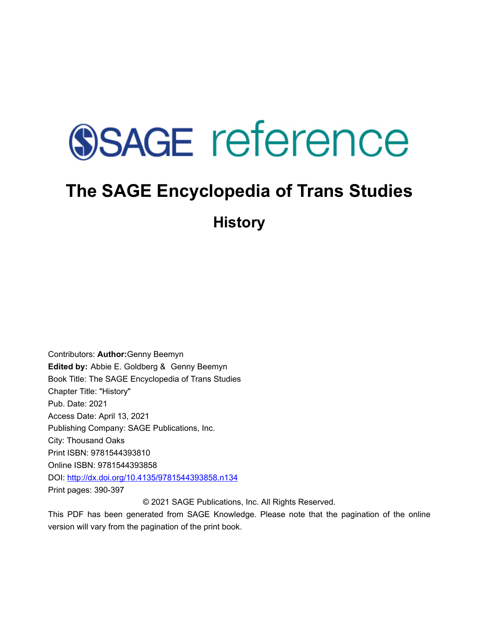# **SSAGE reference**

# **The SAGE Encyclopedia of Trans Studies History**

Contributors: **Author:**Genny Beemyn **Edited by:** [Abbie E. Goldberg](javascript:void(0);) & [Genny Beemyn](javascript:void(0);)  Book Title: The SAGE Encyclopedia of Trans Studies Chapter Title: "History" Pub. Date: 2021 Access Date: April 13, 2021 Publishing Company: SAGE Publications, Inc. City: Thousand Oaks Print ISBN: 9781544393810 Online ISBN: 9781544393858 DOI: <http://dx.doi.org/10.4135/9781544393858.n134> Print pages: 390-397

© 2021 SAGE Publications, Inc. All Rights Reserved.

This PDF has been generated from SAGE Knowledge. Please note that the pagination of the online version will vary from the pagination of the print book.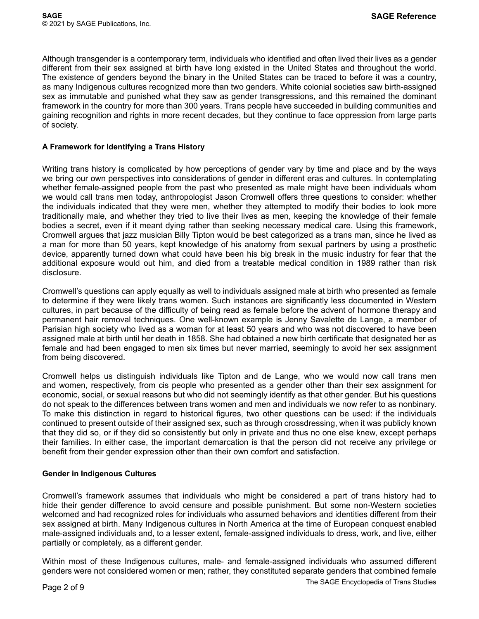Although transgender is a contemporary term, individuals who identified and often lived their lives as a gender different from their sex assigned at birth have long existed in the United States and throughout the world. The existence of genders beyond the binary in the United States can be traced to before it was a country, as many Indigenous cultures recognized more than two genders. White colonial societies saw birth-assigned sex as immutable and punished what they saw as gender transgressions, and this remained the dominant framework in the country for more than 300 years. Trans people have succeeded in building communities and gaining recognition and rights in more recent decades, but they continue to face oppression from large parts of society.

# **A Framework for Identifying a Trans History**

Writing trans history is complicated by how perceptions of gender vary by time and place and by the ways we bring our own perspectives into considerations of gender in different eras and cultures. In contemplating whether female-assigned people from the past who presented as male might have been individuals whom we would call trans men today, anthropologist Jason Cromwell offers three questions to consider: whether the individuals indicated that they were men, whether they attempted to modify their bodies to look more traditionally male, and whether they tried to live their lives as men, keeping the knowledge of their female bodies a secret, even if it meant dying rather than seeking necessary medical care. Using this framework, Cromwell argues that jazz musician Billy Tipton would be best categorized as a trans man, since he lived as a man for more than 50 years, kept knowledge of his anatomy from sexual partners by using a prosthetic device, apparently turned down what could have been his big break in the music industry for fear that the additional exposure would out him, and died from a treatable medical condition in 1989 rather than risk disclosure.

Cromwell's questions can apply equally as well to individuals assigned male at birth who presented as female to determine if they were likely trans women. Such instances are significantly less documented in Western cultures, in part because of the difficulty of being read as female before the advent of hormone therapy and permanent hair removal techniques. One well-known example is Jenny Savalette de Lange, a member of Parisian high society who lived as a woman for at least 50 years and who was not discovered to have been assigned male at birth until her death in 1858. She had obtained a new birth certificate that designated her as female and had been engaged to men six times but never married, seemingly to avoid her sex assignment from being discovered.

Cromwell helps us distinguish individuals like Tipton and de Lange, who we would now call trans men and women, respectively, from cis people who presented as a gender other than their sex assignment for economic, social, or sexual reasons but who did not seemingly identify as that other gender. But his questions do not speak to the differences between trans women and men and individuals we now refer to as nonbinary. To make this distinction in regard to historical figures, two other questions can be used: if the individuals continued to present outside of their assigned sex, such as through crossdressing, when it was publicly known that they did so, or if they did so consistently but only in private and thus no one else knew, except perhaps their families. In either case, the important demarcation is that the person did not receive any privilege or benefit from their gender expression other than their own comfort and satisfaction.

## **Gender in Indigenous Cultures**

Cromwell's framework assumes that individuals who might be considered a part of trans history had to hide their gender difference to avoid censure and possible punishment. But some non-Western societies welcomed and had recognized roles for individuals who assumed behaviors and identities different from their sex assigned at birth. Many Indigenous cultures in North America at the time of European conquest enabled male-assigned individuals and, to a lesser extent, female-assigned individuals to dress, work, and live, either partially or completely, as a different gender.

Within most of these Indigenous cultures, male- and female-assigned individuals who assumed different genders were not considered women or men; rather, they constituted separate genders that combined female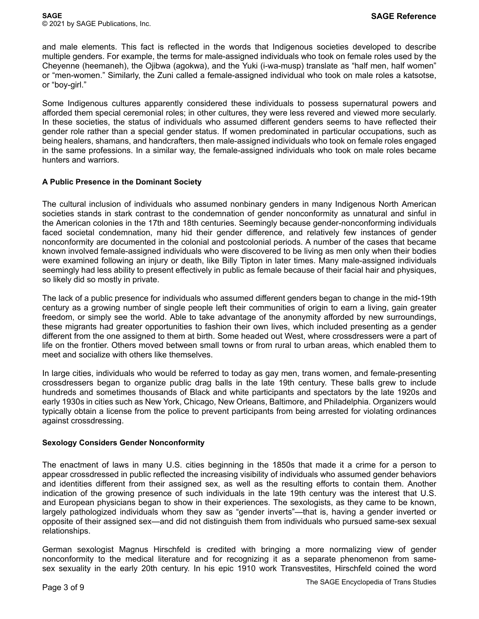and male elements. This fact is reflected in the words that Indigenous societies developed to describe multiple genders. For example, the terms for male-assigned individuals who took on female roles used by the Cheyenne (heemaneh), the Ojibwa (agokwa), and the Yuki (i-wa-musp) translate as "half men, half women" or "men-women." Similarly, the Zuni called a female-assigned individual who took on male roles a katsotse, or "boy-girl."

Some Indigenous cultures apparently considered these individuals to possess supernatural powers and afforded them special ceremonial roles; in other cultures, they were less revered and viewed more secularly. In these societies, the status of individuals who assumed different genders seems to have reflected their gender role rather than a special gender status. If women predominated in particular occupations, such as being healers, shamans, and handcrafters, then male-assigned individuals who took on female roles engaged in the same professions. In a similar way, the female-assigned individuals who took on male roles became hunters and warriors.

## **A Public Presence in the Dominant Society**

The cultural inclusion of individuals who assumed nonbinary genders in many Indigenous North American societies stands in stark contrast to the condemnation of gender nonconformity as unnatural and sinful in the American colonies in the 17th and 18th centuries. Seemingly because gender-nonconforming individuals faced societal condemnation, many hid their gender difference, and relatively few instances of gender nonconformity are documented in the colonial and postcolonial periods. A number of the cases that became known involved female-assigned individuals who were discovered to be living as men only when their bodies were examined following an injury or death, like Billy Tipton in later times. Many male-assigned individuals seemingly had less ability to present effectively in public as female because of their facial hair and physiques, so likely did so mostly in private.

The lack of a public presence for individuals who assumed different genders began to change in the mid-19th century as a growing number of single people left their communities of origin to earn a living, gain greater freedom, or simply see the world. Able to take advantage of the anonymity afforded by new surroundings, these migrants had greater opportunities to fashion their own lives, which included presenting as a gender different from the one assigned to them at birth. Some headed out West, where crossdressers were a part of life on the frontier. Others moved between small towns or from rural to urban areas, which enabled them to meet and socialize with others like themselves.

In large cities, individuals who would be referred to today as gay men, trans women, and female-presenting crossdressers began to organize public drag balls in the late 19th century. These balls grew to include hundreds and sometimes thousands of Black and white participants and spectators by the late 1920s and early 1930s in cities such as New York, Chicago, New Orleans, Baltimore, and Philadelphia. Organizers would typically obtain a license from the police to prevent participants from being arrested for violating ordinances against crossdressing.

## **Sexology Considers Gender Nonconformity**

The enactment of laws in many U.S. cities beginning in the 1850s that made it a crime for a person to appear crossdressed in public reflected the increasing visibility of individuals who assumed gender behaviors and identities different from their assigned sex, as well as the resulting efforts to contain them. Another indication of the growing presence of such individuals in the late 19th century was the interest that U.S. and European physicians began to show in their experiences. The sexologists, as they came to be known, largely pathologized individuals whom they saw as "gender inverts"—that is, having a gender inverted or opposite of their assigned sex—and did not distinguish them from individuals who pursued same-sex sexual relationships.

German sexologist Magnus Hirschfeld is credited with bringing a more normalizing view of gender nonconformity to the medical literature and for recognizing it as a separate phenomenon from samesex sexuality in the early 20th century. In his epic 1910 work Transvestites, Hirschfeld coined the word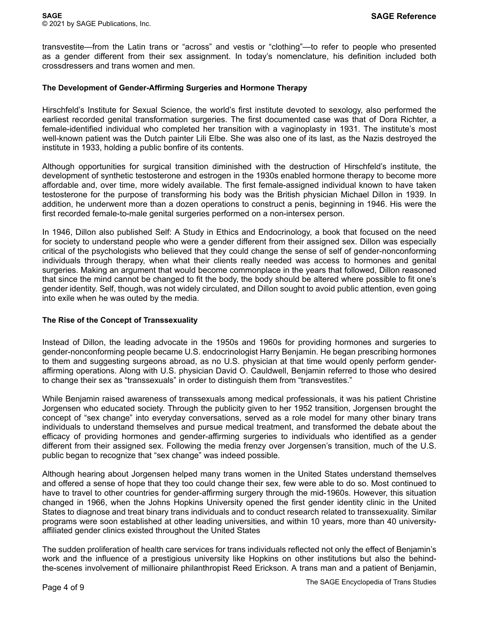transvestite—from the Latin trans or "across" and vestis or "clothing"—to refer to people who presented as a gender different from their sex assignment. In today's nomenclature, his definition included both crossdressers and trans women and men.

#### **The Development of Gender-Affirming Surgeries and Hormone Therapy**

Hirschfeld's Institute for Sexual Science, the world's first institute devoted to sexology, also performed the earliest recorded genital transformation surgeries. The first documented case was that of Dora Richter, a female-identified individual who completed her transition with a vaginoplasty in 1931. The institute's most well-known patient was the Dutch painter Lili Elbe. She was also one of its last, as the Nazis destroyed the institute in 1933, holding a public bonfire of its contents.

Although opportunities for surgical transition diminished with the destruction of Hirschfeld's institute, the development of synthetic testosterone and estrogen in the 1930s enabled hormone therapy to become more affordable and, over time, more widely available. The first female-assigned individual known to have taken testosterone for the purpose of transforming his body was the British physician Michael Dillon in 1939. In addition, he underwent more than a dozen operations to construct a penis, beginning in 1946. His were the first recorded female-to-male genital surgeries performed on a non-intersex person.

In 1946, Dillon also published Self: A Study in Ethics and Endocrinology, a book that focused on the need for society to understand people who were a gender different from their assigned sex. Dillon was especially critical of the psychologists who believed that they could change the sense of self of gender-nonconforming individuals through therapy, when what their clients really needed was access to hormones and genital surgeries. Making an argument that would become commonplace in the years that followed, Dillon reasoned that since the mind cannot be changed to fit the body, the body should be altered where possible to fit one's gender identity. Self, though, was not widely circulated, and Dillon sought to avoid public attention, even going into exile when he was outed by the media.

#### **The Rise of the Concept of Transsexuality**

Instead of Dillon, the leading advocate in the 1950s and 1960s for providing hormones and surgeries to gender-nonconforming people became U.S. endocrinologist Harry Benjamin. He began prescribing hormones to them and suggesting surgeons abroad, as no U.S. physician at that time would openly perform genderaffirming operations. Along with U.S. physician David O. Cauldwell, Benjamin referred to those who desired to change their sex as "transsexuals" in order to distinguish them from "transvestites."

While Benjamin raised awareness of transsexuals among medical professionals, it was his patient Christine Jorgensen who educated society. Through the publicity given to her 1952 transition, Jorgensen brought the concept of "sex change" into everyday conversations, served as a role model for many other binary trans individuals to understand themselves and pursue medical treatment, and transformed the debate about the efficacy of providing hormones and gender-affirming surgeries to individuals who identified as a gender different from their assigned sex. Following the media frenzy over Jorgensen's transition, much of the U.S. public began to recognize that "sex change" was indeed possible.

Although hearing about Jorgensen helped many trans women in the United States understand themselves and offered a sense of hope that they too could change their sex, few were able to do so. Most continued to have to travel to other countries for gender-affirming surgery through the mid-1960s. However, this situation changed in 1966, when the Johns Hopkins University opened the first gender identity clinic in the United States to diagnose and treat binary trans individuals and to conduct research related to transsexuality. Similar programs were soon established at other leading universities, and within 10 years, more than 40 universityaffiliated gender clinics existed throughout the United States

The sudden proliferation of health care services for trans individuals reflected not only the effect of Benjamin's work and the influence of a prestigious university like Hopkins on other institutions but also the behindthe-scenes involvement of millionaire philanthropist Reed Erickson. A trans man and a patient of Benjamin,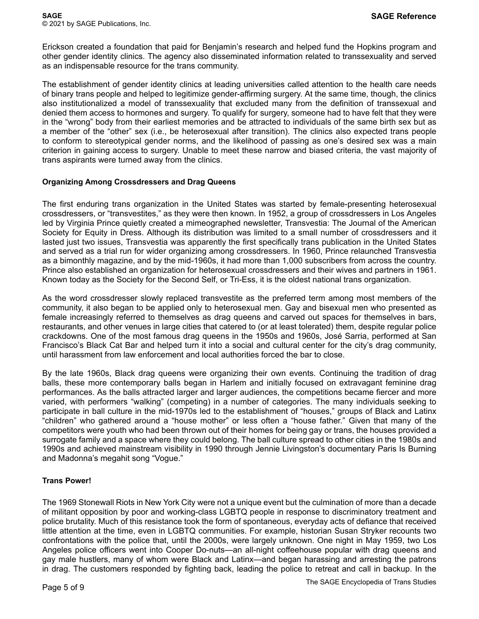Erickson created a foundation that paid for Benjamin's research and helped fund the Hopkins program and other gender identity clinics. The agency also disseminated information related to transsexuality and served as an indispensable resource for the trans community.

The establishment of gender identity clinics at leading universities called attention to the health care needs of binary trans people and helped to legitimize gender-affirming surgery. At the same time, though, the clinics also institutionalized a model of transsexuality that excluded many from the definition of transsexual and denied them access to hormones and surgery. To qualify for surgery, someone had to have felt that they were in the "wrong" body from their earliest memories and be attracted to individuals of the same birth sex but as a member of the "other" sex (i.e., be heterosexual after transition). The clinics also expected trans people to conform to stereotypical gender norms, and the likelihood of passing as one's desired sex was a main criterion in gaining access to surgery. Unable to meet these narrow and biased criteria, the vast majority of trans aspirants were turned away from the clinics.

## **Organizing Among Crossdressers and Drag Queens**

The first enduring trans organization in the United States was started by female-presenting heterosexual crossdressers, or "transvestites," as they were then known. In 1952, a group of crossdressers in Los Angeles led by Virginia Prince quietly created a mimeographed newsletter, Transvestia: The Journal of the American Society for Equity in Dress. Although its distribution was limited to a small number of crossdressers and it lasted just two issues, Transvestia was apparently the first specifically trans publication in the United States and served as a trial run for wider organizing among crossdressers. In 1960, Prince relaunched Transvestia as a bimonthly magazine, and by the mid-1960s, it had more than 1,000 subscribers from across the country. Prince also established an organization for heterosexual crossdressers and their wives and partners in 1961. Known today as the Society for the Second Self, or Tri-Ess, it is the oldest national trans organization.

As the word crossdresser slowly replaced transvestite as the preferred term among most members of the community, it also began to be applied only to heterosexual men. Gay and bisexual men who presented as female increasingly referred to themselves as drag queens and carved out spaces for themselves in bars, restaurants, and other venues in large cities that catered to (or at least tolerated) them, despite regular police crackdowns. One of the most famous drag queens in the 1950s and 1960s, José Sarria, performed at San Francisco's Black Cat Bar and helped turn it into a social and cultural center for the city's drag community, until harassment from law enforcement and local authorities forced the bar to close.

By the late 1960s, Black drag queens were organizing their own events. Continuing the tradition of drag balls, these more contemporary balls began in Harlem and initially focused on extravagant feminine drag performances. As the balls attracted larger and larger audiences, the competitions became fiercer and more varied, with performers "walking" (competing) in a number of categories. The many individuals seeking to participate in ball culture in the mid-1970s led to the establishment of "houses," groups of Black and Latinx "children" who gathered around a "house mother" or less often a "house father." Given that many of the competitors were youth who had been thrown out of their homes for being gay or trans, the houses provided a surrogate family and a space where they could belong. The ball culture spread to other cities in the 1980s and 1990s and achieved mainstream visibility in 1990 through Jennie Livingston's documentary Paris Is Burning and Madonna's megahit song "Vogue."

## **Trans Power!**

The 1969 Stonewall Riots in New York City were not a unique event but the culmination of more than a decade of militant opposition by poor and working-class LGBTQ people in response to discriminatory treatment and police brutality. Much of this resistance took the form of spontaneous, everyday acts of defiance that received little attention at the time, even in LGBTQ communities. For example, historian Susan Stryker recounts two confrontations with the police that, until the 2000s, were largely unknown. One night in May 1959, two Los Angeles police officers went into Cooper Do-nuts—an all-night coffeehouse popular with drag queens and gay male hustlers, many of whom were Black and Latinx—and began harassing and arresting the patrons in drag. The customers responded by fighting back, leading the police to retreat and call in backup. In the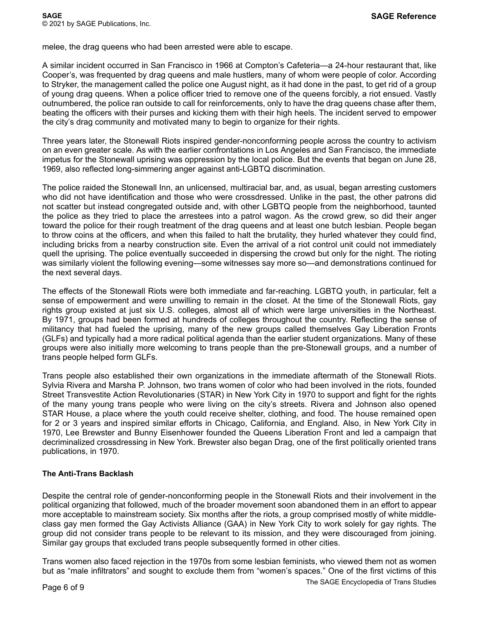melee, the drag queens who had been arrested were able to escape.

A similar incident occurred in San Francisco in 1966 at Compton's Cafeteria—a 24-hour restaurant that, like Cooper's, was frequented by drag queens and male hustlers, many of whom were people of color. According to Stryker, the management called the police one August night, as it had done in the past, to get rid of a group of young drag queens. When a police officer tried to remove one of the queens forcibly, a riot ensued. Vastly outnumbered, the police ran outside to call for reinforcements, only to have the drag queens chase after them, beating the officers with their purses and kicking them with their high heels. The incident served to empower the city's drag community and motivated many to begin to organize for their rights.

Three years later, the Stonewall Riots inspired gender-nonconforming people across the country to activism on an even greater scale. As with the earlier confrontations in Los Angeles and San Francisco, the immediate impetus for the Stonewall uprising was oppression by the local police. But the events that began on June 28, 1969, also reflected long-simmering anger against anti-LGBTQ discrimination.

The police raided the Stonewall Inn, an unlicensed, multiracial bar, and, as usual, began arresting customers who did not have identification and those who were crossdressed. Unlike in the past, the other patrons did not scatter but instead congregated outside and, with other LGBTQ people from the neighborhood, taunted the police as they tried to place the arrestees into a patrol wagon. As the crowd grew, so did their anger toward the police for their rough treatment of the drag queens and at least one butch lesbian. People began to throw coins at the officers, and when this failed to halt the brutality, they hurled whatever they could find, including bricks from a nearby construction site. Even the arrival of a riot control unit could not immediately quell the uprising. The police eventually succeeded in dispersing the crowd but only for the night. The rioting was similarly violent the following evening—some witnesses say more so—and demonstrations continued for the next several days.

The effects of the Stonewall Riots were both immediate and far-reaching. LGBTQ youth, in particular, felt a sense of empowerment and were unwilling to remain in the closet. At the time of the Stonewall Riots, gay rights group existed at just six U.S. colleges, almost all of which were large universities in the Northeast. By 1971, groups had been formed at hundreds of colleges throughout the country. Reflecting the sense of militancy that had fueled the uprising, many of the new groups called themselves Gay Liberation Fronts (GLFs) and typically had a more radical political agenda than the earlier student organizations. Many of these groups were also initially more welcoming to trans people than the pre-Stonewall groups, and a number of trans people helped form GLFs.

Trans people also established their own organizations in the immediate aftermath of the Stonewall Riots. Sylvia Rivera and Marsha P. Johnson, two trans women of color who had been involved in the riots, founded Street Transvestite Action Revolutionaries (STAR) in New York City in 1970 to support and fight for the rights of the many young trans people who were living on the city's streets. Rivera and Johnson also opened STAR House, a place where the youth could receive shelter, clothing, and food. The house remained open for 2 or 3 years and inspired similar efforts in Chicago, California, and England. Also, in New York City in 1970, Lee Brewster and Bunny Eisenhower founded the Queens Liberation Front and led a campaign that decriminalized crossdressing in New York. Brewster also began Drag, one of the first politically oriented trans publications, in 1970.

## **The Anti-Trans Backlash**

Despite the central role of gender-nonconforming people in the Stonewall Riots and their involvement in the political organizing that followed, much of the broader movement soon abandoned them in an effort to appear more acceptable to mainstream society. Six months after the riots, a group comprised mostly of white middleclass gay men formed the Gay Activists Alliance (GAA) in New York City to work solely for gay rights. The group did not consider trans people to be relevant to its mission, and they were discouraged from joining. Similar gay groups that excluded trans people subsequently formed in other cities.

Trans women also faced rejection in the 1970s from some lesbian feminists, who viewed them not as women but as "male infiltrators" and sought to exclude them from "women's spaces." One of the first victims of this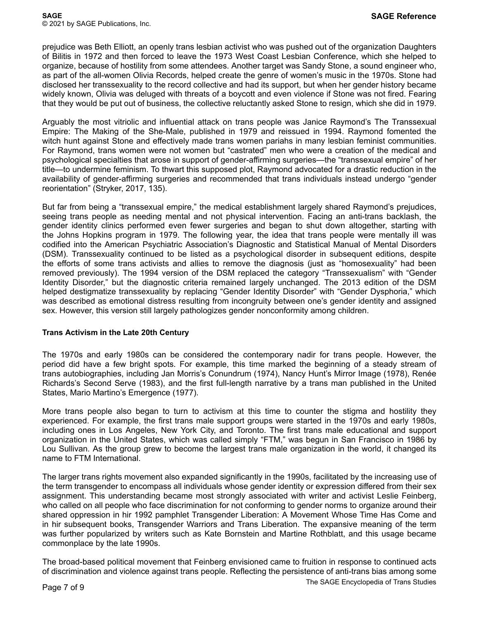prejudice was Beth Elliott, an openly trans lesbian activist who was pushed out of the organization Daughters of Bilitis in 1972 and then forced to leave the 1973 West Coast Lesbian Conference, which she helped to organize, because of hostility from some attendees. Another target was Sandy Stone, a sound engineer who, as part of the all-women Olivia Records, helped create the genre of women's music in the 1970s. Stone had disclosed her transsexuality to the record collective and had its support, but when her gender history became widely known, Olivia was deluged with threats of a boycott and even violence if Stone was not fired. Fearing that they would be put out of business, the collective reluctantly asked Stone to resign, which she did in 1979.

Arguably the most vitriolic and influential attack on trans people was Janice Raymond's The Transsexual Empire: The Making of the She-Male, published in 1979 and reissued in 1994. Raymond fomented the witch hunt against Stone and effectively made trans women pariahs in many lesbian feminist communities. For Raymond, trans women were not women but "castrated" men who were a creation of the medical and psychological specialties that arose in support of gender-affirming surgeries—the "transsexual empire" of her title—to undermine feminism. To thwart this supposed plot, Raymond advocated for a drastic reduction in the availability of gender-affirming surgeries and recommended that trans individuals instead undergo "gender reorientation" (Stryker, 2017, 135).

But far from being a "transsexual empire," the medical establishment largely shared Raymond's prejudices, seeing trans people as needing mental and not physical intervention. Facing an anti-trans backlash, the gender identity clinics performed even fewer surgeries and began to shut down altogether, starting with the Johns Hopkins program in 1979. The following year, the idea that trans people were mentally ill was codified into the American Psychiatric Association's Diagnostic and Statistical Manual of Mental Disorders (DSM). Transsexuality continued to be listed as a psychological disorder in subsequent editions, despite the efforts of some trans activists and allies to remove the diagnosis (just as "homosexuality" had been removed previously). The 1994 version of the DSM replaced the category "Transsexualism" with "Gender Identity Disorder," but the diagnostic criteria remained largely unchanged. The 2013 edition of the DSM helped destigmatize transsexuality by replacing "Gender Identity Disorder" with "Gender Dysphoria," which was described as emotional distress resulting from incongruity between one's gender identity and assigned sex. However, this version still largely pathologizes gender nonconformity among children.

## **Trans Activism in the Late 20th Century**

The 1970s and early 1980s can be considered the contemporary nadir for trans people. However, the period did have a few bright spots. For example, this time marked the beginning of a steady stream of trans autobiographies, including Jan Morris's Conundrum (1974), Nancy Hunt's Mirror Image (1978), Renée Richards's Second Serve (1983), and the first full-length narrative by a trans man published in the United States, Mario Martino's Emergence (1977).

More trans people also began to turn to activism at this time to counter the stigma and hostility they experienced. For example, the first trans male support groups were started in the 1970s and early 1980s, including ones in Los Angeles, New York City, and Toronto. The first trans male educational and support organization in the United States, which was called simply "FTM," was begun in San Francisco in 1986 by Lou Sullivan. As the group grew to become the largest trans male organization in the world, it changed its name to FTM International.

The larger trans rights movement also expanded significantly in the 1990s, facilitated by the increasing use of the term transgender to encompass all individuals whose gender identity or expression differed from their sex assignment. This understanding became most strongly associated with writer and activist Leslie Feinberg, who called on all people who face discrimination for not conforming to gender norms to organize around their shared oppression in hir 1992 pamphlet Transgender Liberation: A Movement Whose Time Has Come and in hir subsequent books, Transgender Warriors and Trans Liberation. The expansive meaning of the term was further popularized by writers such as Kate Bornstein and Martine Rothblatt, and this usage became commonplace by the late 1990s.

The broad-based political movement that Feinberg envisioned came to fruition in response to continued acts of discrimination and violence against trans people. Reflecting the persistence of anti-trans bias among some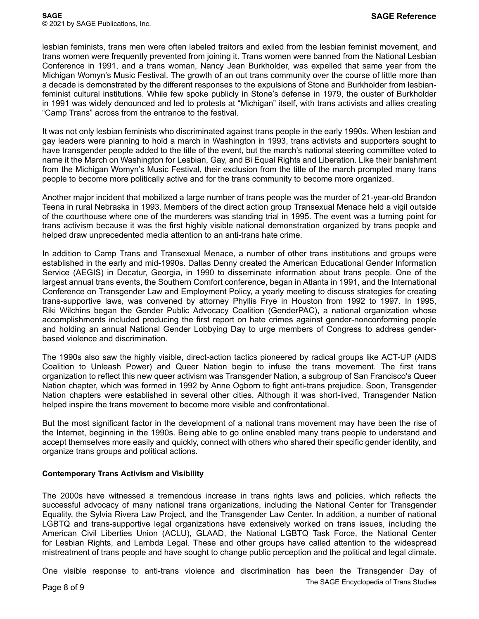lesbian feminists, trans men were often labeled traitors and exiled from the lesbian feminist movement, and trans women were frequently prevented from joining it. Trans women were banned from the National Lesbian Conference in 1991, and a trans woman, Nancy Jean Burkholder, was expelled that same year from the Michigan Womyn's Music Festival. The growth of an out trans community over the course of little more than a decade is demonstrated by the different responses to the expulsions of Stone and Burkholder from lesbianfeminist cultural institutions. While few spoke publicly in Stone's defense in 1979, the ouster of Burkholder in 1991 was widely denounced and led to protests at "Michigan" itself, with trans activists and allies creating "Camp Trans" across from the entrance to the festival.

It was not only lesbian feminists who discriminated against trans people in the early 1990s. When lesbian and gay leaders were planning to hold a march in Washington in 1993, trans activists and supporters sought to have transgender people added to the title of the event, but the march's national steering committee voted to name it the March on Washington for Lesbian, Gay, and Bi Equal Rights and Liberation. Like their banishment from the Michigan Womyn's Music Festival, their exclusion from the title of the march prompted many trans people to become more politically active and for the trans community to become more organized.

Another major incident that mobilized a large number of trans people was the murder of 21-year-old Brandon Teena in rural Nebraska in 1993. Members of the direct action group Transexual Menace held a vigil outside of the courthouse where one of the murderers was standing trial in 1995. The event was a turning point for trans activism because it was the first highly visible national demonstration organized by trans people and helped draw unprecedented media attention to an anti-trans hate crime.

In addition to Camp Trans and Transexual Menace, a number of other trans institutions and groups were established in the early and mid-1990s. Dallas Denny created the American Educational Gender Information Service (AEGIS) in Decatur, Georgia, in 1990 to disseminate information about trans people. One of the largest annual trans events, the Southern Comfort conference, began in Atlanta in 1991, and the International Conference on Transgender Law and Employment Policy, a yearly meeting to discuss strategies for creating trans-supportive laws, was convened by attorney Phyllis Frye in Houston from 1992 to 1997. In 1995, Riki Wilchins began the Gender Public Advocacy Coalition (GenderPAC), a national organization whose accomplishments included producing the first report on hate crimes against gender-nonconforming people and holding an annual National Gender Lobbying Day to urge members of Congress to address genderbased violence and discrimination.

The 1990s also saw the highly visible, direct-action tactics pioneered by radical groups like ACT-UP (AIDS Coalition to Unleash Power) and Queer Nation begin to infuse the trans movement. The first trans organization to reflect this new queer activism was Transgender Nation, a subgroup of San Francisco's Queer Nation chapter, which was formed in 1992 by Anne Ogborn to fight anti-trans prejudice. Soon, Transgender Nation chapters were established in several other cities. Although it was short-lived, Transgender Nation helped inspire the trans movement to become more visible and confrontational.

But the most significant factor in the development of a national trans movement may have been the rise of the Internet, beginning in the 1990s. Being able to go online enabled many trans people to understand and accept themselves more easily and quickly, connect with others who shared their specific gender identity, and organize trans groups and political actions.

## **Contemporary Trans Activism and Visibility**

The 2000s have witnessed a tremendous increase in trans rights laws and policies, which reflects the successful advocacy of many national trans organizations, including the National Center for Transgender Equality, the Sylvia Rivera Law Project, and the Transgender Law Center. In addition, a number of national LGBTQ and trans-supportive legal organizations have extensively worked on trans issues, including the American Civil Liberties Union (ACLU), GLAAD, the National LGBTQ Task Force, the National Center for Lesbian Rights, and Lambda Legal. These and other groups have called attention to the widespread mistreatment of trans people and have sought to change public perception and the political and legal climate.

One visible response to anti-trans violence and discrimination has been the Transgender Day of